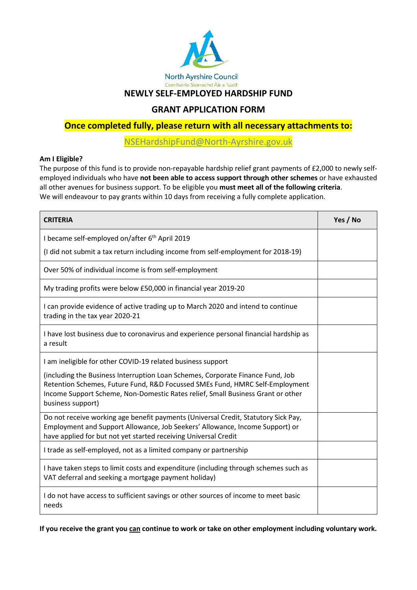

**NEWLY SELF-EMPLOYED HARDSHIP FUND**

# **GRANT APPLICATION FORM**

**Once completed fully, please return with all necessary attachments to:**

[NSEHardshipFund@North-Ayrshire.gov.uk](mailto:NSEHardshipFund@North-Ayrshire.gov.uk)

## **Am I Eligible?**

The purpose of this fund is to provide non-repayable hardship relief grant payments of £2,000 to newly selfemployed individuals who have **not been able to access support through other schemes** or have exhausted all other avenues for business support. To be eligible you **must meet all of the following criteria**. We will endeavour to pay grants within 10 days from receiving a fully complete application.

| <b>CRITERIA</b>                                                                                                                                                                                                                                                        | Yes / No |
|------------------------------------------------------------------------------------------------------------------------------------------------------------------------------------------------------------------------------------------------------------------------|----------|
| I became self-employed on/after 6 <sup>th</sup> April 2019                                                                                                                                                                                                             |          |
| (I did not submit a tax return including income from self-employment for 2018-19)                                                                                                                                                                                      |          |
| Over 50% of individual income is from self-employment                                                                                                                                                                                                                  |          |
| My trading profits were below £50,000 in financial year 2019-20                                                                                                                                                                                                        |          |
| I can provide evidence of active trading up to March 2020 and intend to continue<br>trading in the tax year 2020-21                                                                                                                                                    |          |
| I have lost business due to coronavirus and experience personal financial hardship as<br>a result                                                                                                                                                                      |          |
| I am ineligible for other COVID-19 related business support                                                                                                                                                                                                            |          |
| (including the Business Interruption Loan Schemes, Corporate Finance Fund, Job<br>Retention Schemes, Future Fund, R&D Focussed SMEs Fund, HMRC Self-Employment<br>Income Support Scheme, Non-Domestic Rates relief, Small Business Grant or other<br>business support) |          |
| Do not receive working age benefit payments (Universal Credit, Statutory Sick Pay,<br>Employment and Support Allowance, Job Seekers' Allowance, Income Support) or<br>have applied for but not yet started receiving Universal Credit                                  |          |
| I trade as self-employed, not as a limited company or partnership                                                                                                                                                                                                      |          |
| I have taken steps to limit costs and expenditure (including through schemes such as<br>VAT deferral and seeking a mortgage payment holiday)                                                                                                                           |          |
| I do not have access to sufficient savings or other sources of income to meet basic<br>needs                                                                                                                                                                           |          |

**If you receive the grant you can continue to work or take on other employment including voluntary work.**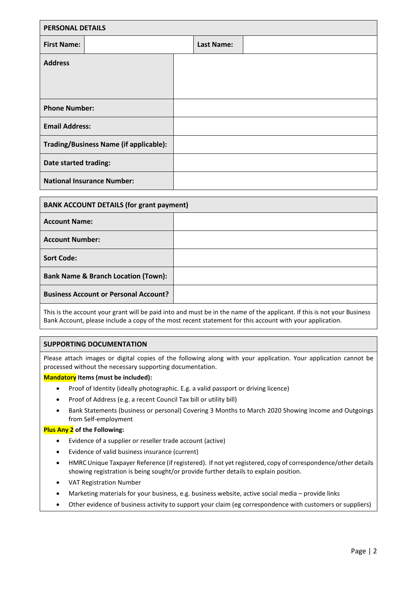| <b>PERSONAL DETAILS</b>                |  |                   |  |
|----------------------------------------|--|-------------------|--|
| <b>First Name:</b>                     |  | <b>Last Name:</b> |  |
| <b>Address</b>                         |  |                   |  |
|                                        |  |                   |  |
|                                        |  |                   |  |
| <b>Phone Number:</b>                   |  |                   |  |
| <b>Email Address:</b>                  |  |                   |  |
| Trading/Business Name (if applicable): |  |                   |  |
| Date started trading:                  |  |                   |  |
| <b>National Insurance Number:</b>      |  |                   |  |

| <b>BANK ACCOUNT DETAILS (for grant payment)</b> |  |  |
|-------------------------------------------------|--|--|
| <b>Account Name:</b>                            |  |  |
| <b>Account Number:</b>                          |  |  |
| <b>Sort Code:</b>                               |  |  |
| <b>Bank Name &amp; Branch Location (Town):</b>  |  |  |
| <b>Business Account or Personal Account?</b>    |  |  |

This is the account your grant will be paid into and must be in the name of the applicant. If this is not your Business Bank Account, please include a copy of the most recent statement for this account with your application.

## **SUPPORTING DOCUMENTATION**

Please attach images or digital copies of the following along with your application. Your application cannot be processed without the necessary supporting documentation.

### **Mandatory Items (must be included):**

- Proof of Identity (ideally photographic. E.g. a valid passport or driving licence)
- Proof of Address (e.g. a recent Council Tax bill or utility bill)
- Bank Statements (business or personal) Covering 3 Months to March 2020 Showing Income and Outgoings from Self-employment

#### **Plus Any 2 of the Following:**

- Evidence of a supplier or reseller trade account (active)
- Evidence of valid business insurance (current)
- HMRC Unique Taxpayer Reference (if registered). If not yet registered, copy of correspondence/other details showing registration is being sought/or provide further details to explain position.
- VAT Registration Number
- Marketing materials for your business, e.g. business website, active social media provide links
- Other evidence of business activity to support your claim (eg correspondence with customers or suppliers)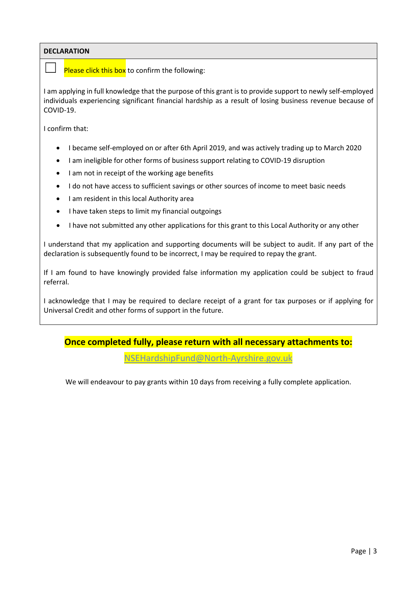## **DECLARATION**

Please click this box to confirm the following:

I am applying in full knowledge that the purpose of this grant is to provide support to newly self-employed individuals experiencing significant financial hardship as a result of losing business revenue because of COVID-19.

I confirm that:

- I became self-employed on or after 6th April 2019, and was actively trading up to March 2020
- I am ineligible for other forms of business support relating to COVID-19 disruption
- I am not in receipt of the working age benefits
- I do not have access to sufficient savings or other sources of income to meet basic needs
- I am resident in this local Authority area
- I have taken steps to limit my financial outgoings
- I have not submitted any other applications for this grant to this Local Authority or any other

I understand that my application and supporting documents will be subject to audit. If any part of the declaration is subsequently found to be incorrect, I may be required to repay the grant.

If I am found to have knowingly provided false information my application could be subject to fraud referral.

I acknowledge that I may be required to declare receipt of a grant for tax purposes or if applying for Universal Credit and other forms of support in the future.

# **Once completed fully, please return with all necessary attachments to:**

[NSEHardshipFund@North-Ayrshire.gov.uk](mailto:NSEHardshipFund@North-Ayrshire.gov.uk)

We will endeavour to pay grants within 10 days from receiving a fully complete application.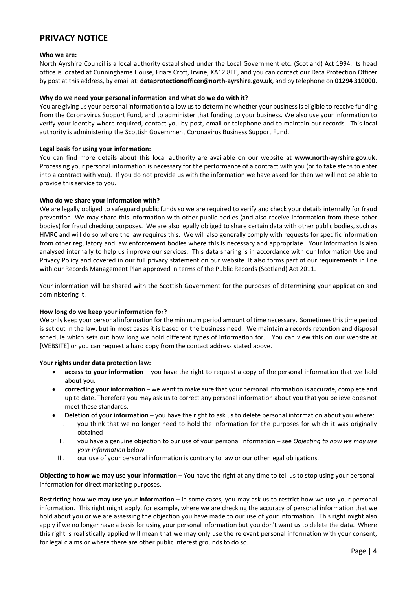## **PRIVACY NOTICE**

#### **Who we are:**

North Ayrshire Council is a local authority established under the Local Government etc. (Scotland) Act 1994. Its head office is located at Cunninghame House, Friars Croft, Irvine, KA12 8EE, and you can contact our Data Protection Officer by post at this address, by email at: **dataprotectionofficer@north-ayrshire.gov.uk**, and by telephone on **01294 310000**.

#### **Why do we need your personal information and what do we do with it?**

You are giving us your personal information to allow us to determine whether your business is eligible to receive funding from the Coronavirus Support Fund, and to administer that funding to your business. We also use your information to verify your identity where required, contact you by post, email or telephone and to maintain our records. This local authority is administering the Scottish Government Coronavirus Business Support Fund.

#### **Legal basis for using your information:**

You can find more details about this local authority are available on our website at **www.north-ayrshire.gov.uk**. Processing your personal information is necessary for the performance of a contract with you (or to take steps to enter into a contract with you). If you do not provide us with the information we have asked for then we will not be able to provide this service to you.

#### **Who do we share your information with?**

We are legally obliged to safeguard public funds so we are required to verify and check your details internally for fraud prevention. We may share this information with other public bodies (and also receive information from these other bodies) for fraud checking purposes. We are also legally obliged to share certain data with other public bodies, such as HMRC and will do so where the law requires this. We will also generally comply with requests for specific information from other regulatory and law enforcement bodies where this is necessary and appropriate. Your information is also analysed internally to help us improve our services. This data sharing is in accordance with our Information Use and Privacy Policy and covered in our full privacy statement on our website. It also forms part of our requirements in line with our Records Management Plan approved in terms of the Public Records (Scotland) Act 2011.

Your information will be shared with the Scottish Government for the purposes of determining your application and administering it.

### **How long do we keep your information for?**

We only keep your personal information for the minimum period amount of time necessary. Sometimes this time period is set out in the law, but in most cases it is based on the business need. We maintain a records retention and disposal schedule which sets out how long we hold different types of information for. You can view this on our website at [WEBSITE] or you can request a hard copy from the contact address stated above.

#### **Your rights under data protection law:**

- **access to your information** you have the right to request a copy of the personal information that we hold about you.
- **correcting your information** we want to make sure that your personal information is accurate, complete and up to date. Therefore you may ask us to correct any personal information about you that you believe does not meet these standards.
	- **Deletion of your information** *–* you have the right to ask us to delete personal information about you where:
	- I. you think that we no longer need to hold the information for the purposes for which it was originally obtained
	- II. you have a genuine objection to our use of your personal information see *Objecting to how we may use your information* below
	- III. our use of your personal information is contrary to law or our other legal obligations.

**Objecting to how we may use your information** – You have the right at any time to tell us to stop using your personal information for direct marketing purposes.

**Restricting how we may use your information** – in some cases, you may ask us to restrict how we use your personal information. This right might apply, for example, where we are checking the accuracy of personal information that we hold about you or we are assessing the objection you have made to our use of your information. This right might also apply if we no longer have a basis for using your personal information but you don't want us to delete the data. Where this right is realistically applied will mean that we may only use the relevant personal information with your consent, for legal claims or where there are other public interest grounds to do so.